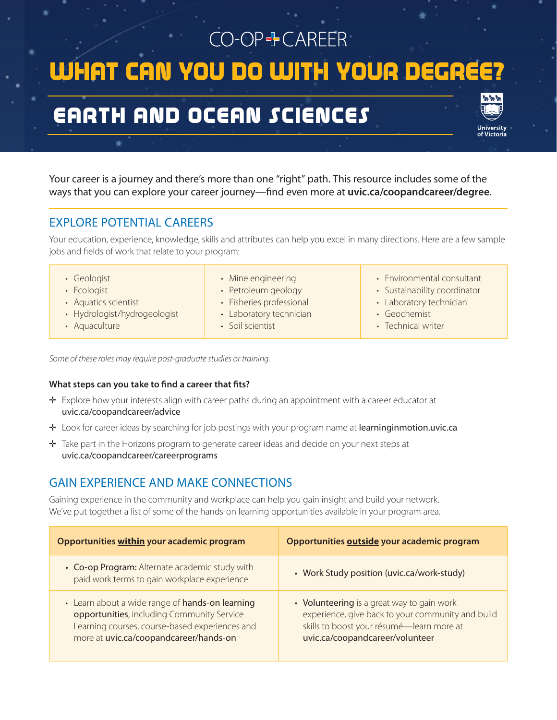# CO-OP+CAREER WHAT CAN YOU DO WITH YOUR DEGRE EARTH AND OCEAN SCIENCES

Your career is a journey and there's more than one "right" path. This resource includes some of the ways that you can explore your career journey—find even more at **uvic.ca/coopandcareer/degree**.

# EXPLORE POTENTIAL CAREERS

Your education, experience, knowledge, skills and attributes can help you excel in many directions. Here are a few sample jobs and fields of work that relate to your program:

| · Geologist                  | • Mine engineering       | • Environmental consultant   |
|------------------------------|--------------------------|------------------------------|
| · Ecologist                  | • Petroleum geology      | • Sustainability coordinator |
| • Aquatics scientist         | • Fisheries professional | • Laboratory technician      |
| · Hydrologist/hydrogeologist | • Laboratory technician  | • Geochemist                 |
| • Aquaculture                | · Soil scientist         | • Technical writer           |

*Some of these roles may require post-graduate studies or training.*

#### **What steps can you take to find a career that fits?**

- ✛ Explore how your interests align with career paths during an appointment with a career educator at uvic.ca/coopandcareer/advice
- ✛ Look for career ideas by searching for job postings with your program name at learninginmotion.uvic.ca
- ✛ Take part in the Horizons program to generate career ideas and decide on your next steps at uvic.ca/coopandcareer/careerprograms

## GAIN EXPERIENCE AND MAKE CONNECTIONS

Gaining experience in the community and workplace can help you gain insight and build your network. We've put together a list of some of the hands-on learning opportunities available in your program area.

| Opportunities within your academic program                                                                                                                                                | Opportunities outside your academic program                                                                                                                                     |
|-------------------------------------------------------------------------------------------------------------------------------------------------------------------------------------------|---------------------------------------------------------------------------------------------------------------------------------------------------------------------------------|
| • Co-op Program: Alternate academic study with<br>paid work terms to gain workplace experience                                                                                            | • Work Study position (uvic.ca/work-study)                                                                                                                                      |
| • Learn about a wide range of hands-on learning<br>opportunities, including Community Service<br>Learning courses, course-based experiences and<br>more at uvic.ca/coopandcareer/hands-on | • Volunteering is a great way to gain work<br>experience, give back to your community and build<br>skills to boost your résumé-learn more at<br>uvic.ca/coopandcareer/volunteer |